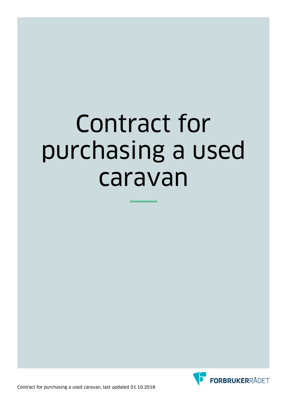# Contract for purchasing a used caravan

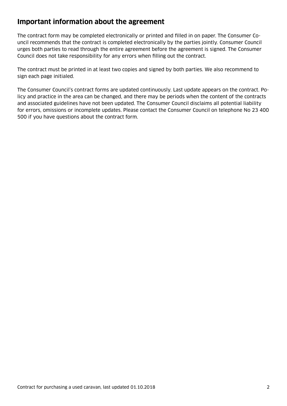### **Important information about the agreement**

The contract form may be completed electronically or printed and flled in on paper. The Consumer Council recommends that the contract is completed electronically by the parties jointly. Consumer Council urges both parties to read through the entire agreement before the agreement is signed. The Consumer Council does not take responsibility for any errors when flling out the contract.

The contract must be printed in at least two copies and signed by both parties. We also recommend to sign each page initialed.

The Consumer Council's contract forms are updated continuously. Last update appears on the contract. Policy and practice in the area can be changed, and there may be periods when the content of the contracts and associated guidelines have not been updated. The Consumer Council disclaims all potential liability for errors, omissions or incomplete updates. Please contact the Consumer Council on telephone No 23 400 500 if you have questions about the contract form.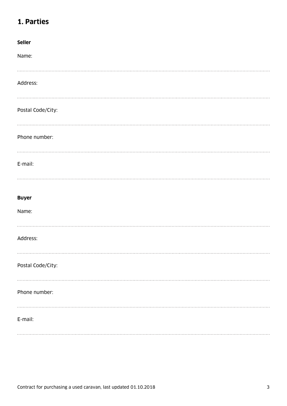# **1. Parties**

| Seller            |
|-------------------|
| Name:             |
|                   |
| Address:          |
|                   |
| Postal Code/City: |
|                   |
| Phone number:     |
|                   |
| E-mail:           |
|                   |
|                   |
| <b>Buyer</b>      |
| Name:             |
|                   |
| Address:          |
|                   |
|                   |
| Postal Code/City: |
|                   |
|                   |
| Phone number:     |
|                   |
| E-mail:           |
|                   |
|                   |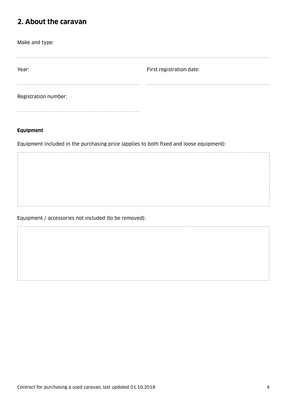## **2. About the caravan**

| Make and type:       |                          |
|----------------------|--------------------------|
|                      |                          |
|                      |                          |
| Year:                | First registration date: |
|                      |                          |
| Registration number: |                          |
|                      |                          |

#### **Equipment**

Equipment included in the purchasing price (applies to both fxed and loose equipment):

Equipment / accessories not included (to be removed):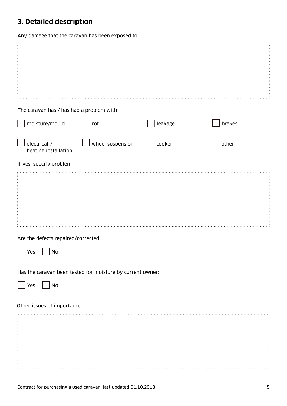# **3. Detailed description**

Any damage that the caravan has been exposed to:

| The caravan has / has had a problem with                   |                  |         |        |  |  |
|------------------------------------------------------------|------------------|---------|--------|--|--|
| moisture/mould                                             | rot              | leakage | brakes |  |  |
| electrical-/<br>heating installation                       | wheel suspension | cooker  | other  |  |  |
| If yes, specify problem:                                   |                  |         |        |  |  |
|                                                            |                  |         |        |  |  |
| Are the defects repaired/corrected:                        |                  |         |        |  |  |
| Yes<br>No                                                  |                  |         |        |  |  |
| Has the caravan been tested for moisture by current owner: |                  |         |        |  |  |
| No<br>Yes                                                  |                  |         |        |  |  |
| Other issues of importance:                                |                  |         |        |  |  |
|                                                            |                  |         |        |  |  |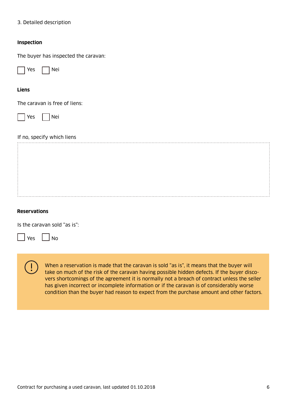#### 3. Detailed description

#### **Inspection**

The buyer has inspected the caravan:



#### **Liens**

The caravan is free of liens:



#### If no, specify which liens

#### **Reservations**

Is the caravan sold "as is":



 $Yes$   $|$   $|$  No

When a reservation is made that the caravan is sold "as is", it means that the buyer will take on much of the risk of the caravan having possible hidden defects. If the buyer discovers shortcomings of the agreement it is normally not a breach of contract unless the seller has given incorrect or incomplete information or if the caravan is of considerably worse condition than the buyer had reason to expect from the purchase amount and other factors.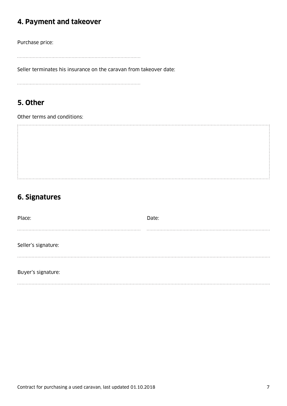# **4. Payment and takeover**

Purchase price:

Seller terminates his insurance on the caravan from takeover date:

# **5. Other**

Other terms and conditions:

# 

# **6. Signatures**

| Place:              | Date: |
|---------------------|-------|
|                     |       |
| Seller's signature: |       |
| Buyer's signature:  |       |
|                     |       |